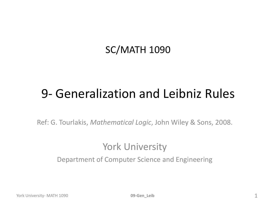#### SC/MATH 1090

#### 9- Generalization and Leibniz Rules

Ref: G. Tourlakis, *Mathematical Logic*, John Wiley & Sons, 2008.

#### York University

Department of Computer Science and Engineering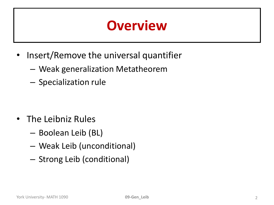#### **Overview**

- Insert/Remove the universal quantifier
	- Weak generalization Metatheorem
	- Specialization rule

- The Leibniz Rules
	- Boolean Leib (BL)
	- Weak Leib (unconditional)
	- Strong Leib (conditional)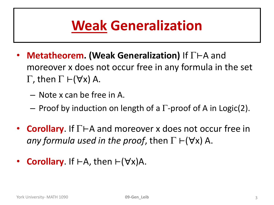## **Weak Generalization**

- **Metatheorem. (Weak Generalization)** If  $\Gamma$  ⊢A and moreover x does not occur free in any formula in the set  $\Gamma$ , then  $\Gamma \vdash (\forall x)$  A.
	- Note x can be free in A.
	- $-$  Proof by induction on length of a  $\Gamma$ -proof of A in Logic(2).
- **Corollary**. If  $\Gamma$  ⊢A and moreover x does not occur free in *any formula used in the proof, then*  $\Gamma \vdash (\forall x)$  A.
- **Corollary.** If  $\vdash A$ , then  $\vdash (\forall x)A$ .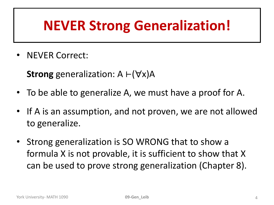#### **NEVER Strong Generalization!**

• NEVER Correct:

**Strong** generalization:  $A \vdash (\forall x)A$ 

- To be able to generalize A, we must have a proof for A.
- If A is an assumption, and not proven, we are not allowed to generalize.
- Strong generalization is SO WRONG that to show a formula X is not provable, it is sufficient to show that X can be used to prove strong generalization (Chapter 8).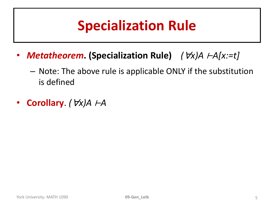## **Specialization Rule**

- *Metatheorem***. (Specialization Rule)** *(x)A* ⊢*A[x:=t]*
	- Note: The above rule is applicable ONLY if the substitution is defined
- **Corollary**. *(x)A* ⊢*A*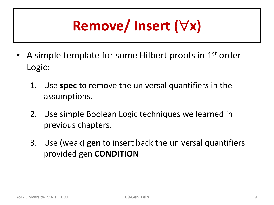# **Remove/ Insert (x)**

- A simple template for some Hilbert proofs in  $1<sup>st</sup>$  order Logic:
	- 1. Use **spec** to remove the universal quantifiers in the assumptions.
	- 2. Use simple Boolean Logic techniques we learned in previous chapters.
	- 3. Use (weak) **gen** to insert back the universal quantifiers provided gen **CONDITION**.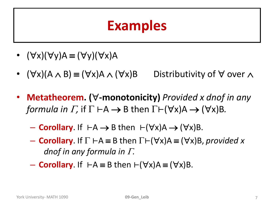#### **Examples**

- $(\forall x)(\forall y)A \equiv (\forall y)(\forall x)A$
- $(\forall x)(A \wedge B) \equiv (\forall x)A \wedge (\forall x)B$  Distributivity of  $\forall$  over  $\wedge$
- Metatheorem. ( $\forall$ -monotonicity) Provided x dnof in any *formula in*  $\Gamma$ *,* if  $\Gamma \vdash A \rightarrow B$  then  $\Gamma \vdash (\forall x)A \rightarrow (\forall x)B$ .
	- **Corollary**. If  $\vdash A \rightarrow B$  then  $\vdash (\forall x)A \rightarrow (\forall x)B$ .
	- $\blacksquare$  **Corollary**. If  $\Gamma \vdash A \equiv B$  then  $\Gamma \vdash (\forall x)A \equiv (\forall x)B$ , *provided x dnof in any formula in .*
	- $-$  **Corollary.** If  $\vdash A \equiv B$  then  $\vdash (\forall x)A \equiv (\forall x)B$ .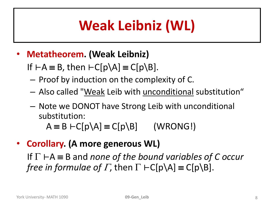## **Weak Leibniz (WL)**

- **Metatheorem. (Weak Leibniz)** 
	- If  $\vdash A \equiv B$ , then  $\vdash C[p\A] \equiv C[p\Bigr\}.$
	- Proof by induction on the complexity of C.
	- Also called "Weak Leib with unconditional substitution"
	- Note we DONOT have Strong Leib with unconditional substitution:

 $A \equiv B \vdash C[p \setminus A] \equiv C[p \setminus B]$  (WRONG!)

• **Corollary. (A more generous WL)**  If ⊢A B and *none of the bound variables of C occur free in formulae of*  $\Gamma$ *, then*  $\Gamma$  ⊢C[p\A] = C[p\B].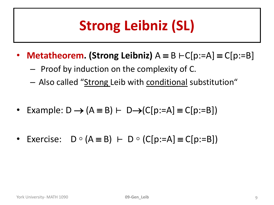## **Strong Leibniz (SL)**

- **Metatheorem. (Strong Leibniz)**  $A \equiv B \vdash C[p:=A] \equiv C[p:=B]$ 
	- Proof by induction on the complexity of C.
	- Also called "Strong Leib with conditional substitution"
- Example:  $D \rightarrow (A \equiv B) \vdash D \rightarrow (C[p:=A] \equiv C[p:=B])$
- Exercise:  $D \circ (A \equiv B) \vdash D \circ (C[p:=A] \equiv C[p:=B])$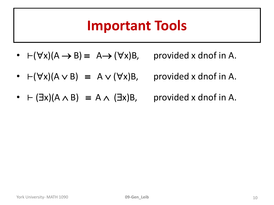#### **Important Tools**

- $\vdash (\forall x)(A \rightarrow B) \equiv A \rightarrow (\forall x)B$ , provided x dnof in A.
- $\vdash (\forall x)(A \lor B) = A \lor (\forall x)B$ , provided x dnof in A.
- $\vdash (\exists x)(A \land B) \equiv A \land (\exists x)B$ , provided x dnof in A.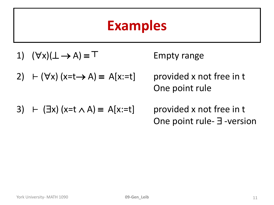#### **Examples**

1)  $(\forall x)(\bot \rightarrow A) \equiv T$ 

2) 
$$
\vdash (\forall x) (x=t \rightarrow A) \equiv A[x:=t]
$$

**Empty range** 

provided x not free in t One point rule

3) 
$$
\vdash
$$
 (∃x) (x=t ∧ A) ≡ A[x:=t]

provided x not free in t One point rule- $\exists$ -version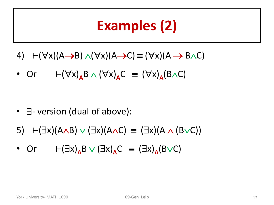## **Examples (2)**

- 4)  $\vdash (\forall x)(A \rightarrow B) \land (\forall x)(A \rightarrow C) \equiv (\forall x)(A \rightarrow B \land C)$
- Or  $\vdash (\forall x)_{A}B \wedge (\forall x)_{A}C = (\forall x)_{A}(B \wedge C)$

- $\exists$  version (dual of above):
- 5)  $\vdash (\exists x)(A \land B) \lor (\exists x)(A \land C) \equiv (\exists x)(A \land (B \lor C))$
- Or  $\vdash (\exists x)_{A} B \lor (\exists x)_{A} C = (\exists x)_{A} (B \lor C)$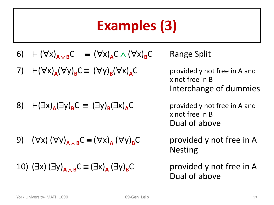## **Examples (3)**

- 6)  $\vdash (\forall x)_{A \lor B} C \equiv (\forall x)_{A} C \land (\forall x)_{B} C$  Range Split
- 7)  $\vdash (\forall x)_{A} (\forall y)_{B} C \equiv (\forall y)_{B}$

$$
8) \quad \vdash (\exists x)_{A} (\exists y)_{B} C \equiv (\exists y)_{B} (\exists x)_{A} C
$$

9)  $(\forall x) (\forall y)_{A \wedge B} C \equiv (\forall x)_{A} (\forall y)_{B} C$ 

10) 
$$
(\exists x) (\exists y)_{A \wedge B} C \equiv (\exists x)_{A} (\exists y)_{B} C
$$

provided y not free in A and x not free in B Interchange of dummies

provided y not free in A and x not free in B Dual of above

provided y not free in A Nesting

provided y not free in A Dual of above